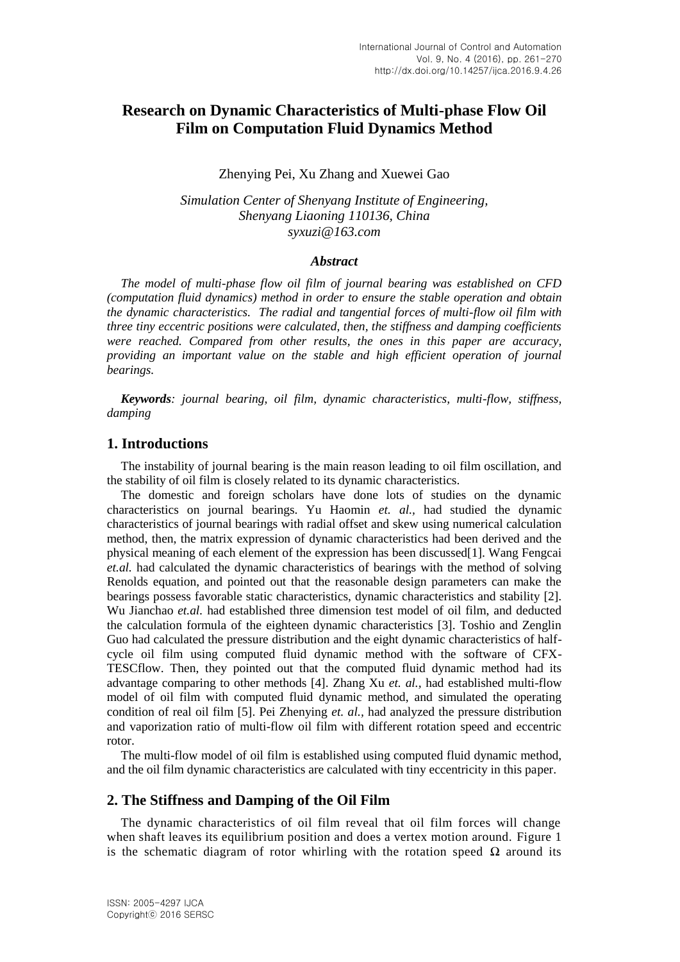# **Research on Dynamic Characteristics of Multi-phase Flow Oil Film on Computation Fluid Dynamics Method**

#### Zhenying Pei, Xu Zhang and Xuewei Gao

*Simulation Center of Shenyang Institute of Engineering, Shenyang Liaoning 110136, China syxuzi@163.com*

#### *Abstract*

*The model of multi-phase flow oil film of journal bearing was established on CFD (computation fluid dynamics) method in order to ensure the stable operation and obtain the dynamic characteristics. The radial and tangential forces of multi-flow oil film with three tiny eccentric positions were calculated, then, the stiffness and damping coefficients were reached. Compared from other results, the ones in this paper are accuracy, providing an important value on the stable and high efficient operation of journal bearings.*

*Keywords: journal bearing, oil film, dynamic characteristics, multi-flow, stiffness, damping*

### **1. Introductions**

The instability of journal bearing is the main reason leading to oil film oscillation, and the stability of oil film is closely related to its dynamic characteristics.

The domestic and foreign scholars have done lots of studies on the dynamic characteristics on journal bearings. Yu Haomin *et. al.,* had studied the dynamic characteristics of journal bearings with radial offset and skew using numerical calculation method, then, the matrix expression of dynamic characteristics had been derived and the physical meaning of each element of the expression has been discussed[1]. Wang Fengcai *et.al.* had calculated the dynamic characteristics of bearings with the method of solving Renolds equation, and pointed out that the reasonable design parameters can make the bearings possess favorable static characteristics, dynamic characteristics and stability [2]. Wu Jianchao *et.al.* had established three dimension test model of oil film, and deducted the calculation formula of the eighteen dynamic characteristics [3]. Toshio and Zenglin Guo had calculated the pressure distribution and the eight dynamic characteristics of halfcycle oil film using computed fluid dynamic method with the software of CFX-TESCflow. Then, they pointed out that the computed fluid dynamic method had its advantage comparing to other methods [4]. Zhang Xu *et. al.,* had established multi-flow model of oil film with computed fluid dynamic method, and simulated the operating condition of real oil film [5]. Pei Zhenying *et. al.,* had analyzed the pressure distribution and vaporization ratio of multi-flow oil film with different rotation speed and eccentric rotor.

The multi-flow model of oil film is established using computed fluid dynamic method, and the oil film dynamic characteristics are calculated with tiny eccentricity in this paper.

#### **2. The Stiffness and Damping of the Oil Film**

The dynamic characteristics of oil film reveal that oil film forces will change when shaft leaves its equilibrium position and does a vertex motion around. Figure 1 is the schematic diagram of rotor whirling with the rotation speed  $\Omega$  around its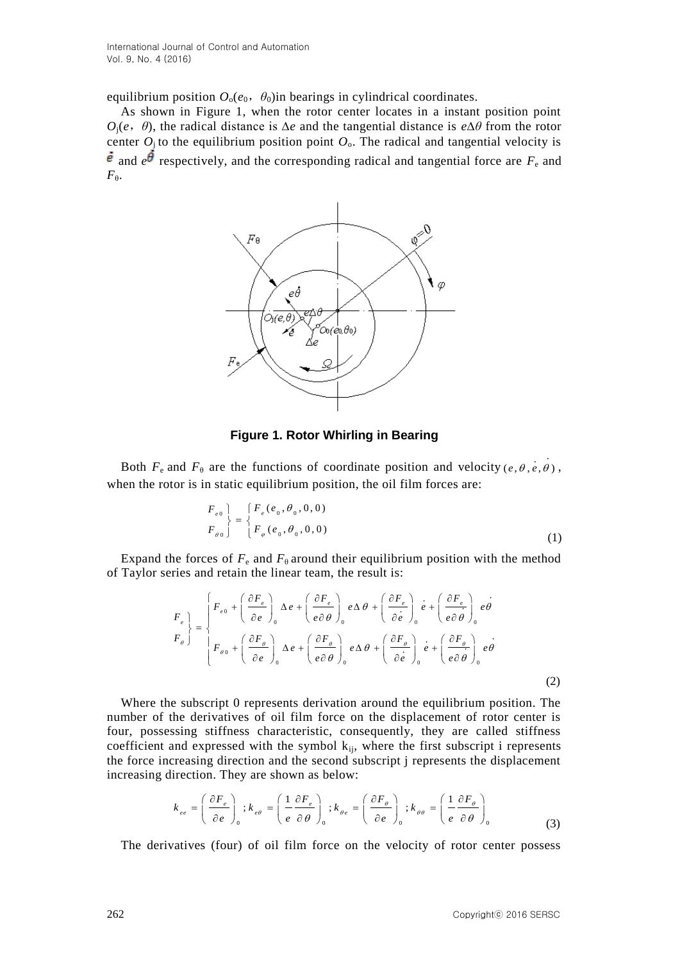International Journal of Control and Automation Vol. 9, No. 4 (2016)

equilibrium position  $O_0(e_0, \theta_0)$ in bearings in cylindrical coordinates.

As shown in Figure 1, when the rotor center locates in a instant position point *O*j(*e*,*θ*), the radical distance is ∆*e* and the tangential distance is *e*∆*θ* from the rotor center  $O_i$  to the equilibrium position point  $O_o$ . The radical and tangential velocity is  $\vec{e}$  and  $e^{\vec{\theta}}$  respectively, and the corresponding radical and tangential force are  $F_e$  and  $F_{\theta}$ .



### **Figure 1. Rotor Whirling in Bearing**

Both  $F_e$  and  $F_\theta$  are the functions of coordinate position and velocity (e,  $\theta$ , e,  $\theta$ ), when the rotor is in static equilibrium position, the oil film forces are:

$$
\left\{\n \begin{array}{c}\n F_{e0} \\
 F_{\theta 0}\n \end{array}\n \right\}\n =\n \left\{\n \begin{array}{c}\n F_e(e_0, \theta_0, 0, 0) \\
 F_\theta(e_0, \theta_0, 0, 0)\n \end{array}\n \right.
$$
\n(1)

Expand the forces of  $F_e$  and  $F_\theta$  around their equilibrium position with the method

of Taylor series and retain the linear team, the result is:  
\n
$$
F_e \Bigg\}_e = \begin{cases}\nF_{e0} + \left(\frac{\partial F_e}{\partial e}\right)_0 \Delta e + \left(\frac{\partial F_e}{e \partial \theta}\right)_0 e \Delta \theta + \left(\frac{\partial F_e}{\partial e}\right)_0 e + \left(\frac{\partial F_e}{\partial \theta}\right)_0 e \Delta \theta \\
F_{\theta}\Bigg\}_e = \begin{cases}\nF_{e0} + \left(\frac{\partial F_{\theta}}{\partial e}\right)_0 \Delta e + \left(\frac{\partial F_{\theta}}{e \partial \theta}\right)_0 e \Delta \theta + \left(\frac{\partial F_{\theta}}{\partial e}\right)_0 e + \left(\frac{\partial F_{\theta}}{\partial \theta}\right)_0 e \Delta \theta \\
F_{\theta 0} + \left(\frac{\partial F_{\theta}}{\partial e}\right)_0 \Delta e + \left(\frac{\partial F_{\theta}}{e \partial \theta}\right)_0 e \Delta \theta + \left(\frac{\partial F_{\theta}}{\partial \theta}\right)_0 e + \left(\frac{\partial F_{\theta}}{e \partial \theta}\right)_0 e \Delta \theta\n\end{cases}
$$
\n(2)

Where the subscript 0 represents derivation around the equilibrium position. The number of the derivatives of oil film force on the displacement of rotor center is four, possessing stiffness characteristic, consequently, they are called stiffness coefficient and expressed with the symbol  $k_{ii}$ , where the first subscript i represents the force increasing direction and the second subscript j represents the displacement

increasing direction. They are shown as below:  
\n
$$
k_{ee} = \left(\frac{\partial F_e}{\partial e}\right)_0; k_{ee} = \left(\frac{1}{e}\frac{\partial F_e}{\partial \theta}\right)_0; k_{\theta e} = \left(\frac{\partial F_{\theta}}{\partial e}\right)_0; k_{\theta \theta} = \left(\frac{1}{e}\frac{\partial F_{\theta}}{\partial \theta}\right)_0
$$
\n(3)

The derivatives (four) of oil film force on the velocity of rotor center possess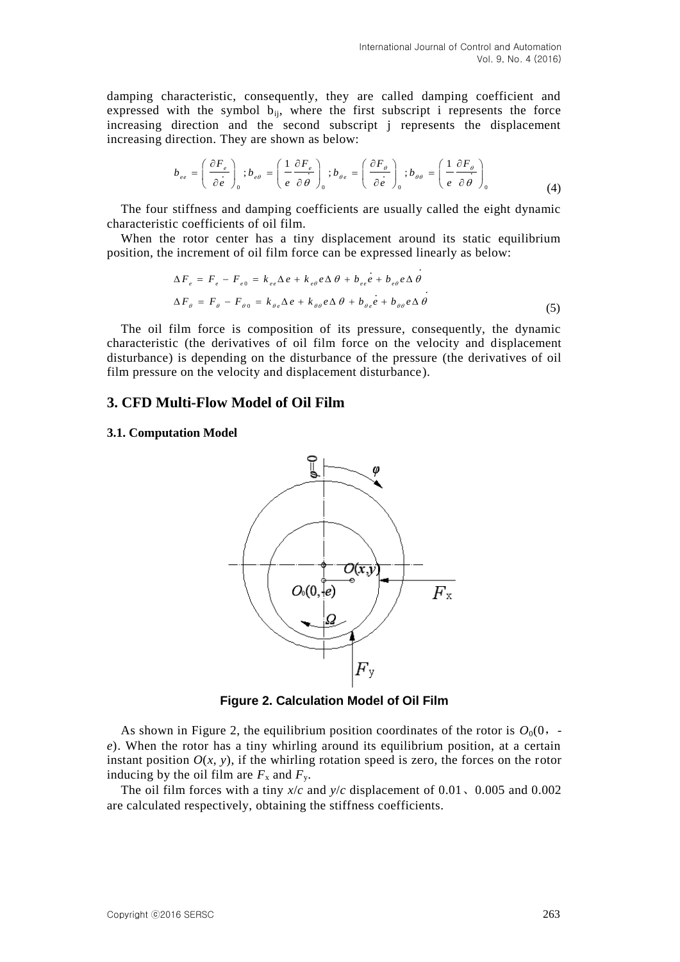damping characteristic, consequently, they are called damping coefficient and expressed with the symbol  $b_{ii}$ , where the first subscript i represents the force increasing direction and the second subscript j represents the displacement

increasing direction. They are shown as below:  
\n
$$
b_{ee} = \left(\frac{\partial F_e}{\partial \dot{e}}\right)_0; b_{ee} = \left(\frac{1}{e} \frac{\partial F_e}{\partial \theta}\right)_0; b_{\theta e} = \left(\frac{\partial F_{\theta}}{\partial \dot{e}}\right)_0; b_{\theta \theta} = \left(\frac{1}{e} \frac{\partial F_{\theta}}{\partial \theta}\right)_0
$$
\n(4)

The four stiffness and damping coefficients are usually called the eight dynamic characteristic coefficients of oil film.

When the rotor center has a tiny displacement around its static equilibrium position, the increment of oil film force can be expressed linearly as below:

$$
\Delta F_e = F_e - F_{e0} = k_{ee} \Delta e + k_{ee} e \Delta \theta + b_{ee} e + b_{ee} \rho \Delta \theta
$$
  

$$
\Delta F_\theta = F_\theta - F_{\theta 0} = k_{\theta e} \Delta e + k_{\theta \theta} e \Delta \theta + b_{\theta e} e + b_{\theta \theta} e \Delta \theta
$$
 (5)

The oil film force is composition of its pressure, consequently, the dynamic characteristic (the derivatives of oil film force on the velocity and displacement disturbance) is depending on the disturbance of the pressure (the derivatives of oil film pressure on the velocity and displacement disturbance).

#### **3. CFD Multi-Flow Model of Oil Film**

#### **3.1. Computation Model**



**Figure 2. Calculation Model of Oil Film**

As shown in Figure 2, the equilibrium position coordinates of the rotor is  $O_0(0, -1)$ *e*). When the rotor has a tiny whirling around its equilibrium position, at a certain instant position  $O(x, y)$ , if the whirling rotation speed is zero, the forces on the rotor inducing by the oil film are  $F_x$  and  $F_y$ .

The oil film forces with a tiny *x*/*c* and *y*/*c* displacement of 0.01、0.005 and 0.002 are calculated respectively, obtaining the stiffness coefficients.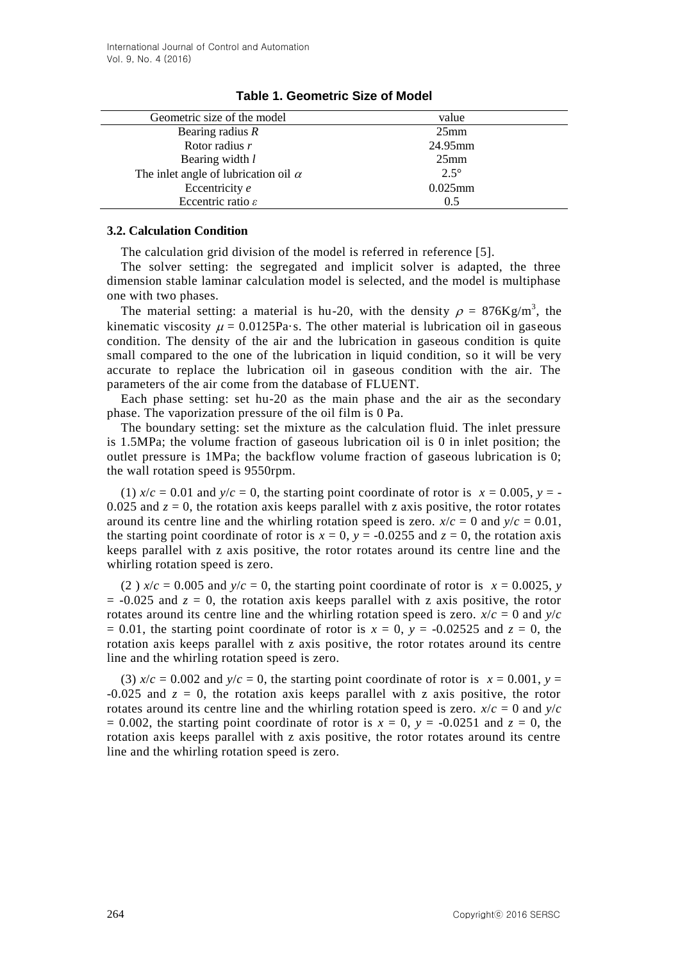| Geometric size of the model                 | value            |
|---------------------------------------------|------------------|
| Bearing radius $R$                          | 25 <sub>mm</sub> |
| Rotor radius r                              | 24.95mm          |
| Bearing width l                             | $25$ mm          |
| The inlet angle of lubrication oil $\alpha$ | $2.5^\circ$      |
| Eccentricity e                              | $0.025$ mm       |
| Eccentric ratio $\varepsilon$               | 0.5              |
|                                             |                  |

### **Table 1. Geometric Size of Model**

#### **3.2. Calculation Condition**

The calculation grid division of the model is referred in reference [5].

The solver setting: the segregated and implicit solver is adapted, the three dimension stable laminar calculation model is selected, and the model is multiphase one with two phases.

The material setting: a material is hu-20, with the density  $\rho = 876 \text{Kg/m}^3$ , the kinematic viscosity  $\mu = 0.0125Pa$  s. The other material is lubrication oil in gaseous condition. The density of the air and the lubrication in gaseous condition is quite small compared to the one of the lubrication in liquid condition, so it will be very accurate to replace the lubrication oil in gaseous condition with the air. The parameters of the air come from the database of FLUENT.

Each phase setting: set hu-20 as the main phase and the air as the secondary phase. The vaporization pressure of the oil film is 0 Pa.

The boundary setting: set the mixture as the calculation fluid. The inlet pressure is 1.5MPa; the volume fraction of gaseous lubrication oil is 0 in inlet position; the outlet pressure is 1MPa; the backflow volume fraction of gaseous lubrication is 0; the wall rotation speed is 9550rpm.

(1)  $x/c = 0.01$  and  $y/c = 0$ , the starting point coordinate of rotor is  $x = 0.005$ ,  $y = -$ 0.025 and  $z = 0$ , the rotation axis keeps parallel with z axis positive, the rotor rotates around its centre line and the whirling rotation speed is zero.  $x/c = 0$  and  $y/c = 0.01$ , the starting point coordinate of rotor is  $x = 0$ ,  $y = -0.0255$  and  $z = 0$ , the rotation axis keeps parallel with z axis positive, the rotor rotates around its centre line and the whirling rotation speed is zero.

(2)  $x/c = 0.005$  and  $y/c = 0$ , the starting point coordinate of rotor is  $x = 0.0025$ , *y*  $= -0.025$  and  $z = 0$ , the rotation axis keeps parallel with z axis positive, the rotor rotates around its centre line and the whirling rotation speed is zero.  $x/c = 0$  and  $y/c$  $= 0.01$ , the starting point coordinate of rotor is  $x = 0$ ,  $y = -0.02525$  and  $z = 0$ , the rotation axis keeps parallel with z axis positive, the rotor rotates around its centre line and the whirling rotation speed is zero.

(3)  $x/c = 0.002$  and  $y/c = 0$ , the starting point coordinate of rotor is  $x = 0.001$ ,  $y =$  $-0.025$  and  $z = 0$ , the rotation axis keeps parallel with z axis positive, the rotor rotates around its centre line and the whirling rotation speed is zero.  $x/c = 0$  and  $y/c$  $= 0.002$ , the starting point coordinate of rotor is  $x = 0$ ,  $y = -0.0251$  and  $z = 0$ , the rotation axis keeps parallel with z axis positive, the rotor rotates around its centre line and the whirling rotation speed is zero.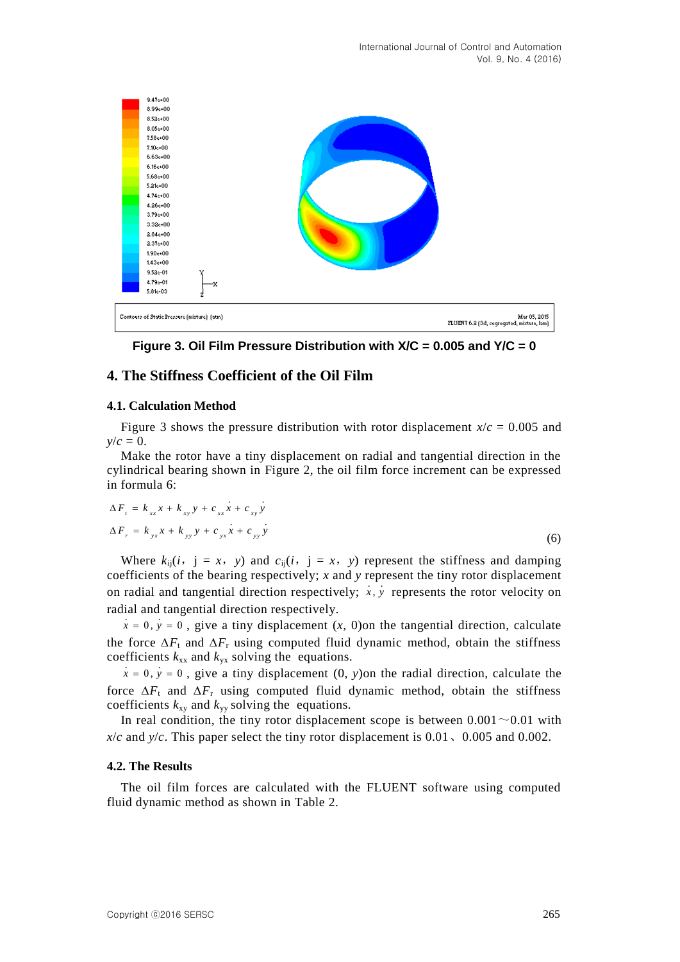

**Figure 3. Oil Film Pressure Distribution with X/C = 0.005 and Y/C = 0**

### **4. The Stiffness Coefficient of the Oil Film**

#### **4.1. Calculation Method**

Figure 3 shows the pressure distribution with rotor displacement  $x/c = 0.005$  and  $y/c = 0$ .

Make the rotor have a tiny displacement on radial and tangential direction in the cylindrical bearing shown in Figure 2, the oil film force increment can be expressed in formula 6:

$$
\Delta F_{t} = k_{xx}x + k_{xy}y + c_{xx}x + c_{xy}y
$$
  
\n
$$
\Delta F_{r} = k_{yx}x + k_{yy}y + c_{yx}x + c_{yy}y
$$
\n(6)

Where  $k_{ii}(i, j = x, y)$  and  $c_{ii}(i, j = x, y)$  represent the stiffness and damping coefficients of the bearing respectively; *x* and *y* represent the tiny rotor displacement on radial and tangential direction respectively;  $x, y$  represents the rotor velocity on radial and tangential direction respectively.

 $x = 0$ ,  $y = 0$ , give a tiny displacement  $(x, 0)$  on the tangential direction, calculate the force  $\Delta F_t$  and  $\Delta F_r$  using computed fluid dynamic method, obtain the stiffness coefficients  $k_{xx}$  and  $k_{yx}$  solving the equations.

 $x = 0$ ,  $y = 0$ , give a tiny displacement  $(0, y)$ on the radial direction, calculate the force  $\Delta F_t$  and  $\Delta F_t$  using computed fluid dynamic method, obtain the stiffness coefficients  $k_{xy}$  and  $k_{yy}$  solving the equations.

In real condition, the tiny rotor displacement scope is between  $0.001 \sim 0.01$  with  $x/c$  and  $y/c$ . This paper select the tiny rotor displacement is 0.01, 0.005 and 0.002.

#### **4.2. The Results**

The oil film forces are calculated with the FLUENT software using computed fluid dynamic method as shown in Table 2.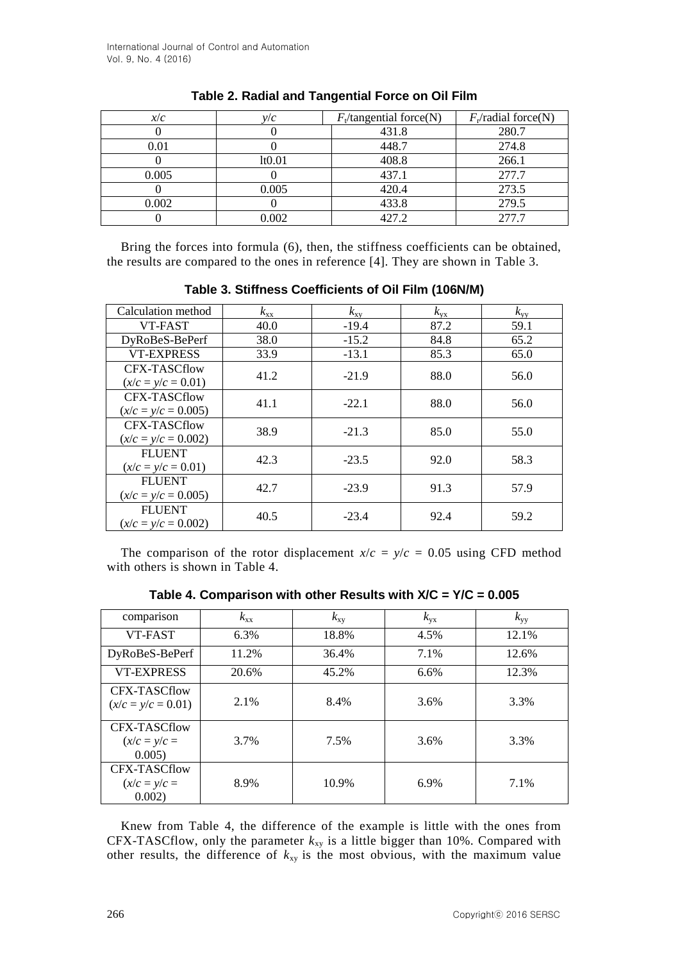| x/c   | $V\!V\!C$           | $F_{\rm t}$ /tangential force(N) | $F_r$ /radial force(N) |
|-------|---------------------|----------------------------------|------------------------|
|       |                     | 431.8                            | 280.7                  |
| 0.01  |                     | 448.7                            | 274.8                  |
|       | 1 <sub>t</sub> 0.01 | 408.8                            | 266.1                  |
| 0.005 |                     | 437.1                            | 277.7                  |
|       | 0.005               | 420.4                            | 273.5                  |
| 0.002 |                     | 433.8                            | 279.5                  |
|       | 0.002               | 427.2                            | 277.7                  |

|  |  | Table 2. Radial and Tangential Force on Oil Film |  |  |
|--|--|--------------------------------------------------|--|--|
|--|--|--------------------------------------------------|--|--|

Bring the forces into formula (6), then, the stiffness coefficients can be obtained, the results are compared to the ones in reference [4]. They are shown in Table 3.

| Calculation method                     | $k_{xx}$ | $k_{xy}$ | $k_{\rm vx}$ | $k_{\rm vv}$ |
|----------------------------------------|----------|----------|--------------|--------------|
| VT-FAST                                | 40.0     | $-19.4$  | 87.2         | 59.1         |
| DyRoBeS-BePerf                         | 38.0     | $-15.2$  | 84.8         | 65.2         |
| <b>VT-EXPRESS</b>                      | 33.9     | $-13.1$  | 85.3         | 65.0         |
| CFX-TASCflow<br>$(x/c = y/c = 0.01)$   | 41.2     | $-21.9$  | 88.0         | 56.0         |
| CFX-TASCflow<br>$(x/c = y/c = 0.005)$  | 41.1     | $-22.1$  | 88.0         | 56.0         |
| CFX-TASCflow<br>$(x/c = y/c = 0.002)$  | 38.9     | $-21.3$  | 85.0         | 55.0         |
| <b>FLUENT</b><br>$(x/c = y/c = 0.01)$  | 42.3     | $-23.5$  | 92.0         | 58.3         |
| <b>FLUENT</b><br>$(x/c = y/c = 0.005)$ | 42.7     | $-23.9$  | 91.3         | 57.9         |
| <b>FLUENT</b><br>$(x/c = y/c = 0.002)$ | 40.5     | $-23.4$  | 92.4         | 59.2         |

**Table 3. Stiffness Coefficients of Oil Film (106N/M)**

The comparison of the rotor displacement  $x/c = y/c = 0.05$  using CFD method with others is shown in Table 4.

| comparison                               | $k_{xx}$ | $k_{xy}$ | $k_{\rm yx}$ | $k_{yy}$ |
|------------------------------------------|----------|----------|--------------|----------|
| VT-FAST                                  | $6.3\%$  | 18.8%    | 4.5%         | 12.1%    |
| DyRoBeS-BePerf                           | 11.2%    | 36.4%    | 7.1%         | 12.6%    |
| <b>VT-EXPRESS</b>                        | 20.6%    | 45.2%    | 6.6%         | 12.3%    |
| CFX-TASCflow<br>$(x/c = y/c = 0.01)$     | 2.1%     | 8.4%     | 3.6%         | 3.3%     |
| CFX-TASCflow<br>$(x/c = y/c)$<br>0.005)  | 3.7%     | 7.5%     | 3.6%         | 3.3%     |
| CFX-TASCflow<br>$(x/c = y/c =$<br>0.002) | 8.9%     | 10.9%    | 6.9%         | 7.1%     |

**Table 4. Comparison with other Results with X/C = Y/C = 0.005**

Knew from Table 4, the difference of the example is little with the ones from CFX-TASCflow, only the parameter  $k_{xy}$  is a little bigger than 10%. Compared with other results, the difference of  $k_{xy}$  is the most obvious, with the maximum value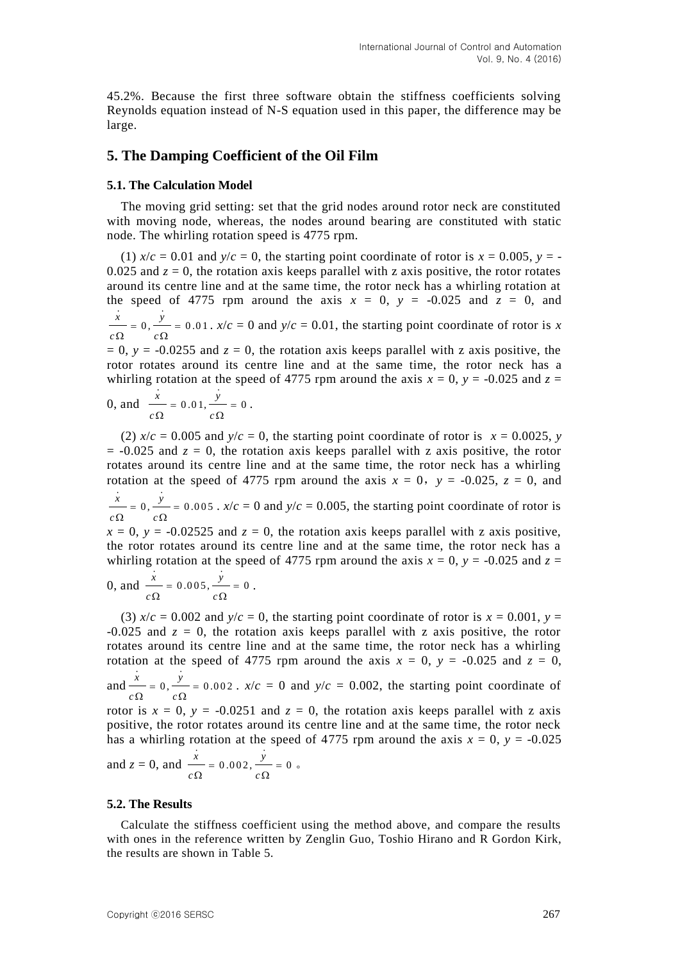45.2%. Because the first three software obtain the stiffness coefficients solving Reynolds equation instead of N-S equation used in this paper, the difference may be large.

### **5. The Damping Coefficient of the Oil Film**

#### **5.1. The Calculation Model**

The moving grid setting: set that the grid nodes around rotor neck are constituted with moving node, whereas, the nodes around bearing are constituted with static node. The whirling rotation speed is 4775 rpm.

(1)  $x/c = 0.01$  and  $y/c = 0$ , the starting point coordinate of rotor is  $x = 0.005$ ,  $y = -1$ 0.025 and  $z = 0$ , the rotation axis keeps parallel with z axis positive, the rotor rotates around its centre line and at the same time, the rotor neck has a whirling rotation at the speed of 4775 rpm around the axis  $x = 0$ ,  $y = -0.025$  and  $z = 0$ , and  $\frac{\dot{x}}{y} = 0, \frac{\dot{y}}{y} = 0.01$  $= 0, \frac{y}{x} = 0$ .  $x/c = 0$  and  $y/c = 0.01$ , the starting point coordinate of rotor is x

 $c \Omega$  *c*  $\Omega$   $c\Omega$  $= 0$ ,  $y = -0.0255$  and  $z = 0$ , the rotation axis keeps parallel with z axis positive, the rotor rotates around its centre line and at the same time, the rotor neck has a whirling rotation at the speed of 4775 rpm around the axis  $x = 0$ ,  $y = -0.025$  and  $z =$ 

0, and 
$$
\frac{x}{c\Omega} = 0.01, \frac{y}{c\Omega} = 0
$$
.

(2)  $x/c = 0.005$  and  $y/c = 0$ , the starting point coordinate of rotor is  $x = 0.0025$ , *y*  $= -0.025$  and  $z = 0$ , the rotation axis keeps parallel with z axis positive, the rotor rotates around its centre line and at the same time, the rotor neck has a whirling rotation at the speed of 4775 rpm around the axis  $x = 0$ ,  $y = -0.025$ ,  $z = 0$ , and  $\frac{x}{y} = 0, \frac{y}{y} = 0.005$  $c \Omega$   $c$  $= 0, \frac{y}{x} = 0$  $\Omega$   $c\Omega$ .  $x/c = 0$  and  $y/c = 0.005$ , the starting point coordinate of rotor is  $x = 0$ ,  $y = -0.02525$  and  $z = 0$ , the rotation axis keeps parallel with z axis positive, the rotor rotates around its centre line and at the same time, the rotor neck has a

whirling rotation at the speed of 4775 rpm around the axis  $x = 0$ ,  $y = -0.025$  and  $z =$ 

0, and 
$$
\frac{x}{c\Omega} = 0.005
$$
,  $\frac{y}{c\Omega} = 0$ .

(3)  $x/c = 0.002$  and  $y/c = 0$ , the starting point coordinate of rotor is  $x = 0.001$ ,  $y =$  $-0.025$  and  $z = 0$ , the rotation axis keeps parallel with z axis positive, the rotor rotates around its centre line and at the same time, the rotor neck has a whirling rotation at the speed of 4775 rpm around the axis  $x = 0$ ,  $y = -0.025$  and  $z = 0$ , and  $\frac{x}{x} = 0, \frac{y}{x} = 0.002$  $c \Omega$   $c$  $= 0, \frac{y}{x} = 0$  $\Omega$   $c\Omega$ .  $x/c = 0$  and  $y/c = 0.002$ , the starting point coordinate of rotor is  $x = 0$ ,  $y = -0.0251$  and  $z = 0$ , the rotation axis keeps parallel with z axis positive, the rotor rotates around its centre line and at the same time, the rotor neck has a whirling rotation at the speed of 4775 rpm around the axis  $x = 0$ ,  $y = -0.025$  $\dot{x}$   $\dot{y}$ 

and 
$$
z = 0
$$
, and  $\frac{x}{c\Omega} = 0.002$ ,  $\frac{y}{c\Omega} = 0$ .

#### **5.2. The Results**

Calculate the stiffness coefficient using the method above, and compare the results with ones in the reference written by Zenglin Guo, Toshio Hirano and R Gordon Kirk, the results are shown in Table 5.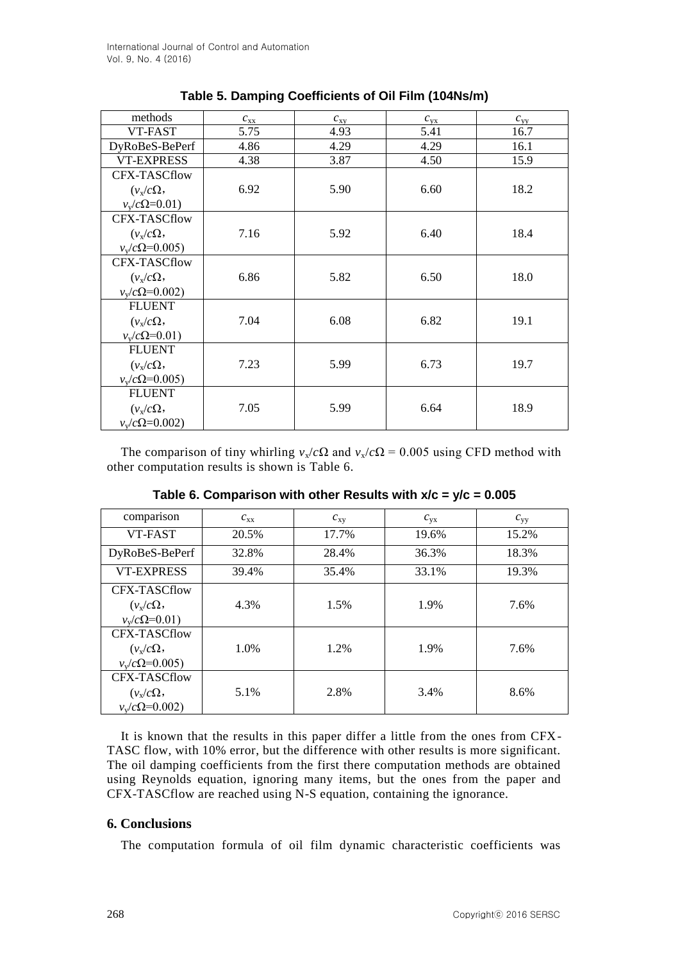| methods                 | $c_{xx}$ | $c_{xy}$ | $c_{\rm vx}$ | $c_{yy}$ |
|-------------------------|----------|----------|--------------|----------|
| VT-FAST                 | 5.75     | 4.93     | 5.41         | 16.7     |
| DyRoBeS-BePerf          | 4.86     | 4.29     | 4.29         | 16.1     |
| <b>VT-EXPRESS</b>       | 4.38     | 3.87     | 4.50         | 15.9     |
| <b>CFX-TASCflow</b>     |          |          |              |          |
| $(\nu_{\rm x}/c\Omega,$ | 6.92     | 5.90     | 6.60         | 18.2     |
| $v_v/c\Omega = 0.01$    |          |          |              |          |
| <b>CFX-TASCflow</b>     |          |          |              |          |
| $(\nu_{\rm x}/c\Omega,$ | 7.16     | 5.92     | 6.40         | 18.4     |
| $v_v/c\Omega$ =0.005)   |          |          |              |          |
| <b>CFX-TASCflow</b>     |          |          |              |          |
| $(\nu_{\rm x}/c\Omega,$ | 6.86     | 5.82     | 6.50         | 18.0     |
| $v_v/c\Omega = 0.002$   |          |          |              |          |
| <b>FLUENT</b>           |          |          |              |          |
| $(\nu_x/c\Omega,$       | 7.04     | 6.08     | 6.82         | 19.1     |
| $v_v/c\Omega = 0.01$    |          |          |              |          |
| <b>FLUENT</b>           |          |          |              |          |
| $(\nu_{\rm x}/c\Omega,$ | 7.23     | 5.99     | 6.73         | 19.7     |
| $v_v/c\Omega$ =0.005)   |          |          |              |          |
| <b>FLUENT</b>           |          |          |              |          |
| $(\nu_x/c\Omega,$       | 7.05     | 5.99     | 6.64         | 18.9     |
| $v_v/c\Omega$ =0.002)   |          |          |              |          |

## **Table 5. Damping Coefficients of Oil Film (104Ns/m)**

The comparison of tiny whirling  $v_x/c\Omega$  and  $v_x/c\Omega = 0.005$  using CFD method with other computation results is shown is Table 6.

| comparison                                                       | $c_{xx}$ | $c_{xy}$ | $c_{\rm vx}$ | $c_{yy}$ |
|------------------------------------------------------------------|----------|----------|--------------|----------|
| VT-FAST                                                          | 20.5%    | 17.7%    | 19.6%        | 15.2%    |
| DyRoBeS-BePerf                                                   | 32.8%    | 28.4%    | 36.3%        | 18.3%    |
| <b>VT-EXPRESS</b>                                                | 39.4%    | 35.4%    | 33.1%        | 19.3%    |
| CFX-TASCflow<br>$(\nu_{\rm x}/c\Omega,$<br>$v_v/c\Omega = 0.01$  | 4.3%     | 1.5%     | 1.9%         | 7.6%     |
| CFX-TASCflow<br>$(\nu_{\rm x}/c\Omega,$<br>$v_v/c\Omega = 0.005$ | 1.0%     | 1.2%     | 1.9%         | 7.6%     |
| CFX-TASCflow<br>$(\nu_{\rm x}/c\Omega,$<br>$v_v/c\Omega = 0.002$ | 5.1%     | 2.8%     | 3.4%         | 8.6%     |

**Table 6. Comparison with other Results with x/c = y/c = 0.005**

It is known that the results in this paper differ a little from the ones from CFX-TASC flow, with 10% error, but the difference with other results is more significant. The oil damping coefficients from the first there computation methods are obtained using Reynolds equation, ignoring many items, but the ones from the paper and CFX-TASCflow are reached using N-S equation, containing the ignorance.

### **6. Conclusions**

The computation formula of oil film dynamic characteristic coefficients was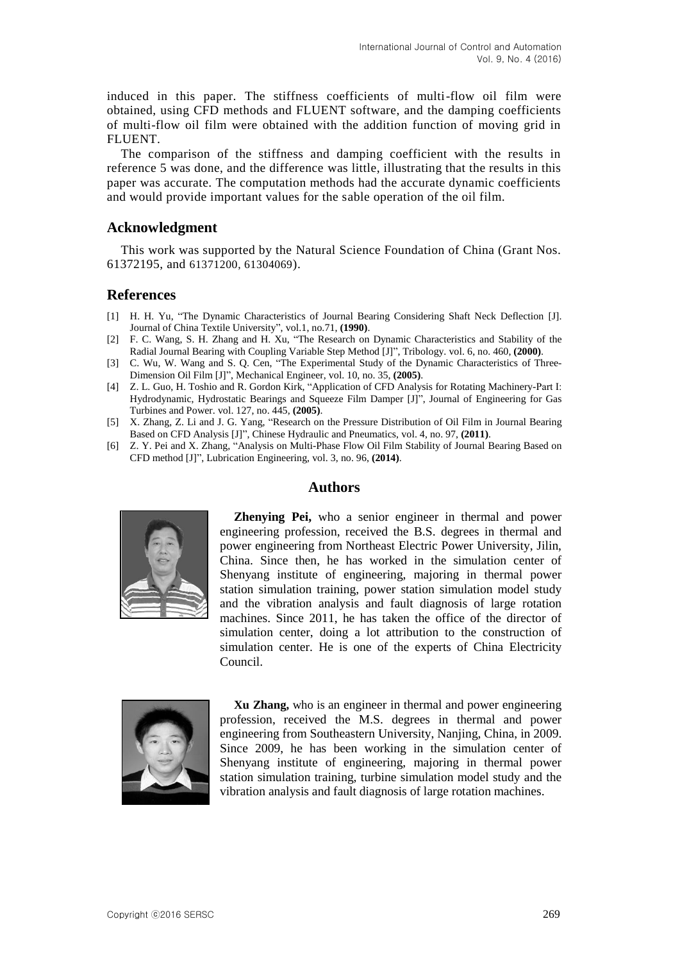induced in this paper. The stiffness coefficients of multi-flow oil film were obtained, using CFD methods and FLUENT software, and the damping coefficients of multi-flow oil film were obtained with the addition function of moving grid in FLUENT.

The comparison of the stiffness and damping coefficient with the results in reference 5 was done, and the difference was little, illustrating that the results in this paper was accurate. The computation methods had the accurate dynamic coefficients and would provide important values for the sable operation of the oil film.

### **Acknowledgment**

This work was supported by the Natural Science Foundation of China (Grant Nos. 61372195, and 61371200, 61304069).

### **References**

- [1] H. H. Yu, "The Dynamic Characteristics of Journal Bearing Considering Shaft Neck Deflection [J]. Journal of China Textile University", vol.1, no.71, **(1990)**.
- [2] F. C. Wang, S. H. Zhang and H. Xu, "The Research on Dynamic Characteristics and Stability of the Radial Journal Bearing with Coupling Variable Step Method [J]", Tribology. vol. 6, no. 460, **(2000)**.
- [3] C. Wu, W. Wang and S. Q. Cen, "The Experimental Study of the Dynamic Characteristics of Three-Dimension Oil Film [J]", Mechanical Engineer, vol. 10, no. 35, **(2005)**.
- [4] Z. L. Guo, H. Toshio and R. Gordon Kirk, "Application of CFD Analysis for Rotating Machinery-Part І: Hydrodynamic, Hydrostatic Bearings and Squeeze Film Damper [J]", Journal of Engineering for Gas Turbines and Power. vol. 127, no. 445, **(2005)**.
- [5] X. Zhang, Z. Li and J. G. Yang, "Research on the Pressure Distribution of Oil Film in Journal Bearing Based on CFD Analysis [J]", Chinese Hydraulic and Pneumatics, vol. 4, no. 97, **(2011)**.
- [6] Z. Y. Pei and X. Zhang, "Analysis on Multi-Phase Flow Oil Film Stability of Journal Bearing Based on CFD method [J]", Lubrication Engineering, vol. 3, no. 96, **(2014)**.

### **Authors**



**Zhenying Pei,** who a senior engineer in thermal and power engineering profession, received the B.S. degrees in thermal and power engineering from Northeast Electric Power University, Jilin, China. Since then, he has worked in the simulation center of Shenyang institute of engineering, majoring in thermal power station simulation training, power station simulation model study and the vibration analysis and fault diagnosis of large rotation machines. Since 2011, he has taken the office of the director of simulation center, doing a lot attribution to the construction of simulation center. He is one of the experts of China Electricity Council.



**Xu Zhang,** who is an engineer in thermal and power engineering profession, received the M.S. degrees in thermal and power engineering from Southeastern University, Nanjing, China, in 2009. Since 2009, he has been working in the simulation center of Shenyang institute of engineering, majoring in thermal power station simulation training, turbine simulation model study and the vibration analysis and fault diagnosis of large rotation machines.